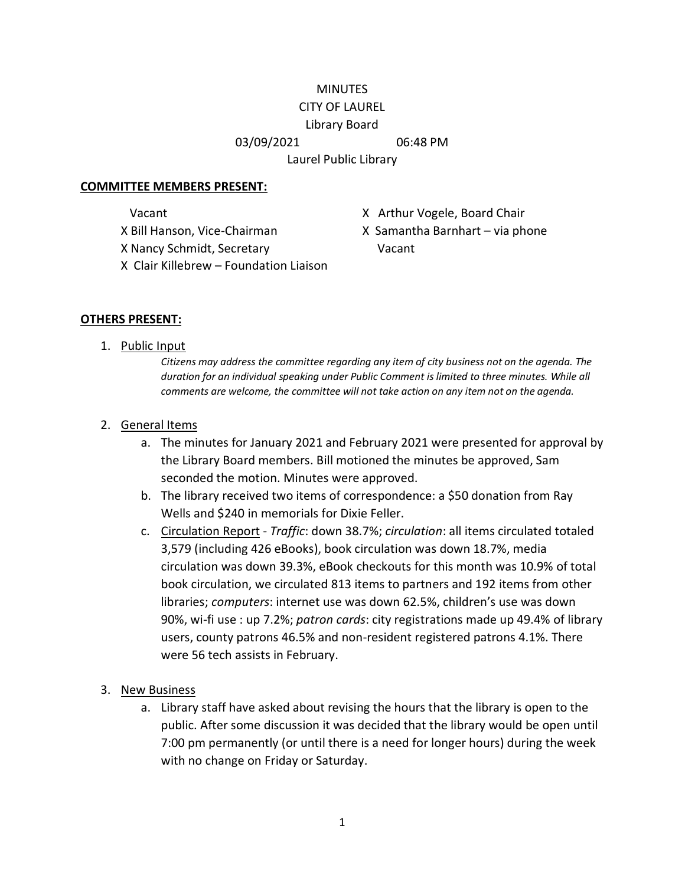### **MINUTES** CITY OF LAUREL

# Library Board

#### 03/09/2021 06:48 PM

Laurel Public Library

### **COMMITTEE MEMBERS PRESENT:**

X Nancy Schmidt, Secretary Vacant

- Vacant **X** Arthur Vogele, Board Chair
- X Bill Hanson, Vice-Chairman X Samantha Barnhart via phone
- X Clair Killebrew Foundation Liaison

## **OTHERS PRESENT:**

1. Public Input

*Citizens may address the committee regarding any item of city business not on the agenda. The duration for an individual speaking under Public Comment is limited to three minutes. While all comments are welcome, the committee will not take action on any item not on the agenda.*

## 2. General Items

- a. The minutes for January 2021 and February 2021 were presented for approval by the Library Board members. Bill motioned the minutes be approved, Sam seconded the motion. Minutes were approved.
- b. The library received two items of correspondence: a \$50 donation from Ray Wells and \$240 in memorials for Dixie Feller.
- c. Circulation Report *Traffic*: down 38.7%; *circulation*: all items circulated totaled 3,579 (including 426 eBooks), book circulation was down 18.7%, media circulation was down 39.3%, eBook checkouts for this month was 10.9% of total book circulation, we circulated 813 items to partners and 192 items from other libraries; *computers*: internet use was down 62.5%, children's use was down 90%, wi-fi use : up 7.2%; *patron cards*: city registrations made up 49.4% of library users, county patrons 46.5% and non-resident registered patrons 4.1%. There were 56 tech assists in February.
- 3. New Business
	- a. Library staff have asked about revising the hours that the library is open to the public. After some discussion it was decided that the library would be open until 7:00 pm permanently (or until there is a need for longer hours) during the week with no change on Friday or Saturday.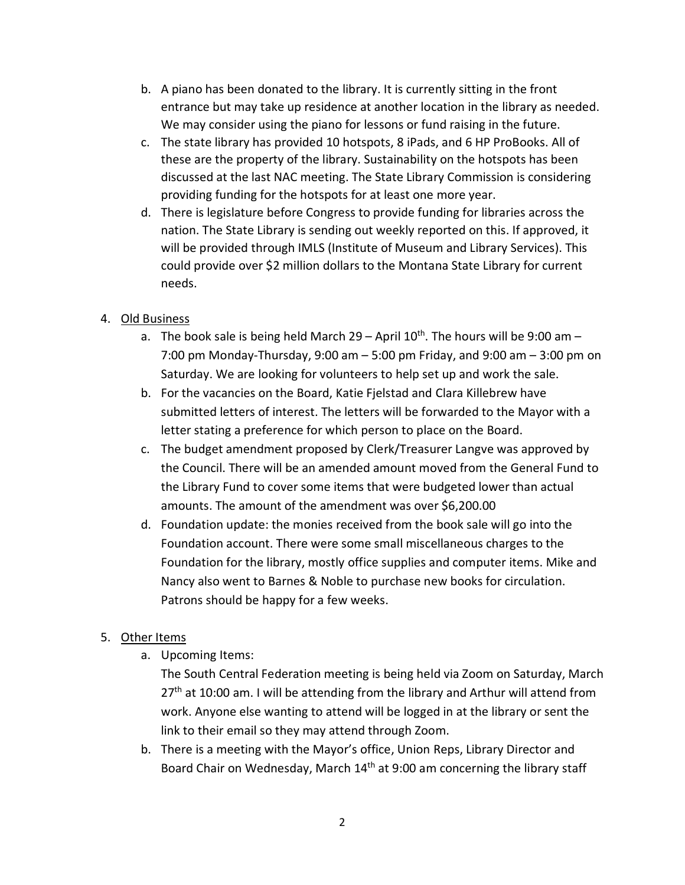- b. A piano has been donated to the library. It is currently sitting in the front entrance but may take up residence at another location in the library as needed. We may consider using the piano for lessons or fund raising in the future.
- c. The state library has provided 10 hotspots, 8 iPads, and 6 HP ProBooks. All of these are the property of the library. Sustainability on the hotspots has been discussed at the last NAC meeting. The State Library Commission is considering providing funding for the hotspots for at least one more year.
- d. There is legislature before Congress to provide funding for libraries across the nation. The State Library is sending out weekly reported on this. If approved, it will be provided through IMLS (Institute of Museum and Library Services). This could provide over \$2 million dollars to the Montana State Library for current needs.

## 4. Old Business

- a. The book sale is being held March 29 April  $10^{th}$ . The hours will be 9:00 am 7:00 pm Monday-Thursday, 9:00 am – 5:00 pm Friday, and 9:00 am – 3:00 pm on Saturday. We are looking for volunteers to help set up and work the sale.
- b. For the vacancies on the Board, Katie Fjelstad and Clara Killebrew have submitted letters of interest. The letters will be forwarded to the Mayor with a letter stating a preference for which person to place on the Board.
- c. The budget amendment proposed by Clerk/Treasurer Langve was approved by the Council. There will be an amended amount moved from the General Fund to the Library Fund to cover some items that were budgeted lower than actual amounts. The amount of the amendment was over \$6,200.00
- d. Foundation update: the monies received from the book sale will go into the Foundation account. There were some small miscellaneous charges to the Foundation for the library, mostly office supplies and computer items. Mike and Nancy also went to Barnes & Noble to purchase new books for circulation. Patrons should be happy for a few weeks.

## 5. Other Items

a. Upcoming Items:

The South Central Federation meeting is being held via Zoom on Saturday, March  $27<sup>th</sup>$  at 10:00 am. I will be attending from the library and Arthur will attend from work. Anyone else wanting to attend will be logged in at the library or sent the link to their email so they may attend through Zoom.

b. There is a meeting with the Mayor's office, Union Reps, Library Director and Board Chair on Wednesday, March  $14<sup>th</sup>$  at 9:00 am concerning the library staff